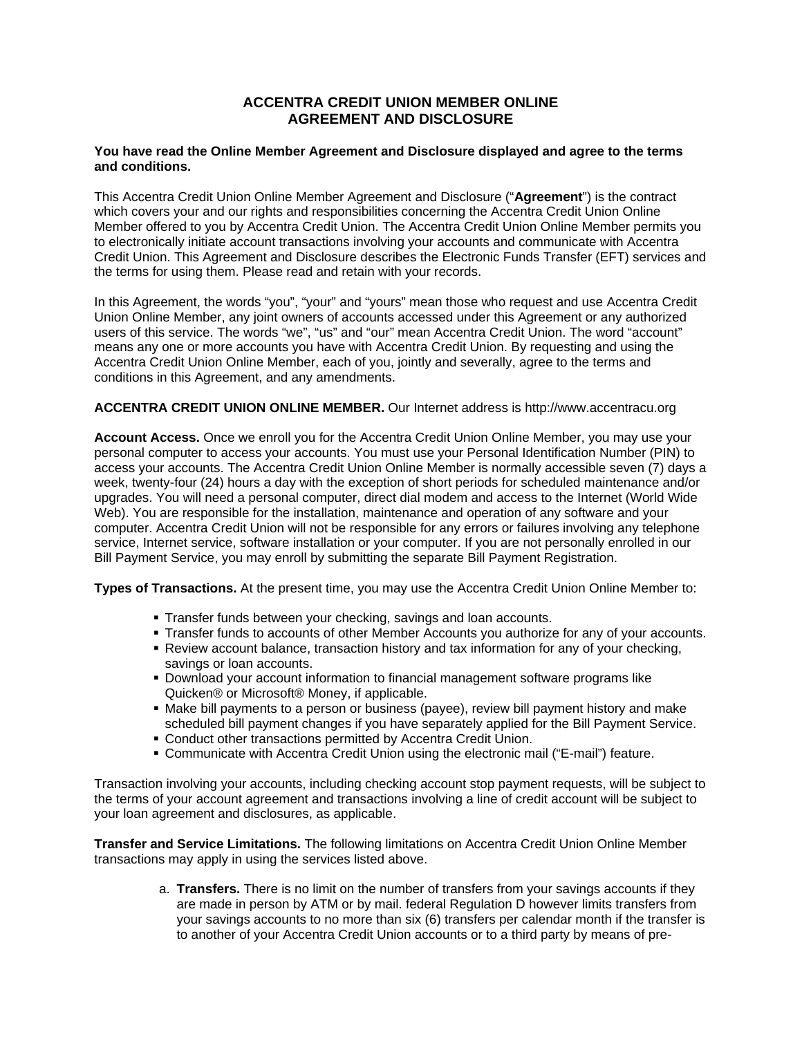# **ACCENTRA CREDIT UNION MEMBER ONLINE AGREEMENT AND DISCLOSURE**

#### **You have read the Online Member Agreement and Disclosure displayed and agree to the terms and conditions.**

This Accentra Credit Union Online Member Agreement and Disclosure ("**Agreement**") is the contract which covers your and our rights and responsibilities concerning the Accentra Credit Union Online Member offered to you by Accentra Credit Union. The Accentra Credit Union Online Member permits you to electronically initiate account transactions involving your accounts and communicate with Accentra Credit Union. This Agreement and Disclosure describes the Electronic Funds Transfer (EFT) services and the terms for using them. Please read and retain with your records.

In this Agreement, the words "you", "your" and "yours" mean those who request and use Accentra Credit Union Online Member, any joint owners of accounts accessed under this Agreement or any authorized users of this service. The words "we", "us" and "our" mean Accentra Credit Union. The word "account" means any one or more accounts you have with Accentra Credit Union. By requesting and using the Accentra Credit Union Online Member, each of you, jointly and severally, agree to the terms and conditions in this Agreement, and any amendments.

# **ACCENTRA CREDIT UNION ONLINE MEMBER.** Our Internet address is http://www.accentracu.org

**Account Access.** Once we enroll you for the Accentra Credit Union Online Member, you may use your personal computer to access your accounts. You must use your Personal Identification Number (PIN) to access your accounts. The Accentra Credit Union Online Member is normally accessible seven (7) days a week, twenty-four (24) hours a day with the exception of short periods for scheduled maintenance and/or upgrades. You will need a personal computer, direct dial modem and access to the Internet (World Wide Web). You are responsible for the installation, maintenance and operation of any software and your computer. Accentra Credit Union will not be responsible for any errors or failures involving any telephone service, Internet service, software installation or your computer. If you are not personally enrolled in our Bill Payment Service, you may enroll by submitting the separate Bill Payment Registration.

**Types of Transactions.** At the present time, you may use the Accentra Credit Union Online Member to:

- **Transfer funds between your checking, savings and loan accounts.**
- Transfer funds to accounts of other Member Accounts you authorize for any of your accounts.
- Review account balance, transaction history and tax information for any of your checking, savings or loan accounts.
- Download your account information to financial management software programs like Quicken® or Microsoft® Money, if applicable.
- Make bill payments to a person or business (payee), review bill payment history and make scheduled bill payment changes if you have separately applied for the Bill Payment Service.
- Conduct other transactions permitted by Accentra Credit Union.
- Communicate with Accentra Credit Union using the electronic mail ("E-mail") feature.

Transaction involving your accounts, including checking account stop payment requests, will be subject to the terms of your account agreement and transactions involving a line of credit account will be subject to your loan agreement and disclosures, as applicable.

**Transfer and Service Limitations.** The following limitations on Accentra Credit Union Online Member transactions may apply in using the services listed above.

> a. **Transfers.** There is no limit on the number of transfers from your savings accounts if they are made in person by ATM or by mail. federal Regulation D however limits transfers from your savings accounts to no more than six (6) transfers per calendar month if the transfer is to another of your Accentra Credit Union accounts or to a third party by means of pre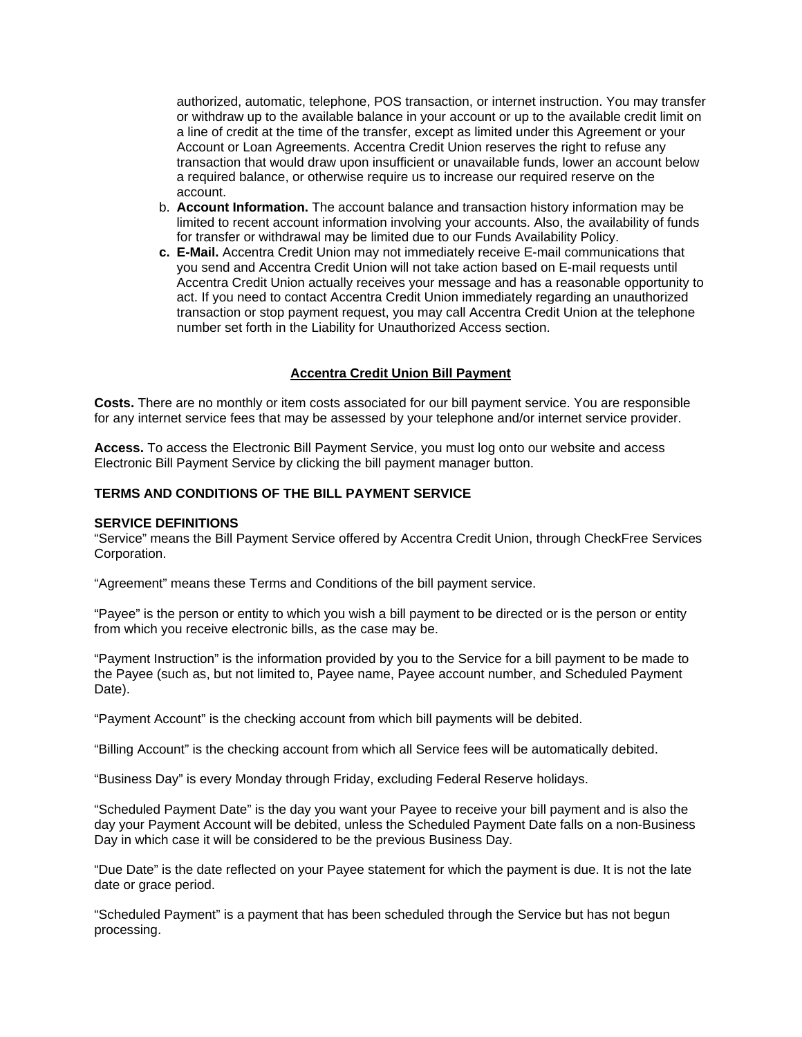authorized, automatic, telephone, POS transaction, or internet instruction. You may transfer or withdraw up to the available balance in your account or up to the available credit limit on a line of credit at the time of the transfer, except as limited under this Agreement or your Account or Loan Agreements. Accentra Credit Union reserves the right to refuse any transaction that would draw upon insufficient or unavailable funds, lower an account below a required balance, or otherwise require us to increase our required reserve on the account.

- b. **Account Information.** The account balance and transaction history information may be limited to recent account information involving your accounts. Also, the availability of funds for transfer or withdrawal may be limited due to our Funds Availability Policy.
- **c. E-Mail.** Accentra Credit Union may not immediately receive E-mail communications that you send and Accentra Credit Union will not take action based on E-mail requests until Accentra Credit Union actually receives your message and has a reasonable opportunity to act. If you need to contact Accentra Credit Union immediately regarding an unauthorized transaction or stop payment request, you may call Accentra Credit Union at the telephone number set forth in the Liability for Unauthorized Access section.

# **Accentra Credit Union Bill Payment**

**Costs.** There are no monthly or item costs associated for our bill payment service. You are responsible for any internet service fees that may be assessed by your telephone and/or internet service provider.

**Access.** To access the Electronic Bill Payment Service, you must log onto our website and access Electronic Bill Payment Service by clicking the bill payment manager button.

### **TERMS AND CONDITIONS OF THE BILL PAYMENT SERVICE**

#### **SERVICE DEFINITIONS**

"Service" means the Bill Payment Service offered by Accentra Credit Union, through CheckFree Services Corporation.

"Agreement" means these Terms and Conditions of the bill payment service.

"Payee" is the person or entity to which you wish a bill payment to be directed or is the person or entity from which you receive electronic bills, as the case may be.

"Payment Instruction" is the information provided by you to the Service for a bill payment to be made to the Payee (such as, but not limited to, Payee name, Payee account number, and Scheduled Payment Date).

"Payment Account" is the checking account from which bill payments will be debited.

"Billing Account" is the checking account from which all Service fees will be automatically debited.

"Business Day" is every Monday through Friday, excluding Federal Reserve holidays.

"Scheduled Payment Date" is the day you want your Payee to receive your bill payment and is also the day your Payment Account will be debited, unless the Scheduled Payment Date falls on a non-Business Day in which case it will be considered to be the previous Business Day.

"Due Date" is the date reflected on your Payee statement for which the payment is due. It is not the late date or grace period.

"Scheduled Payment" is a payment that has been scheduled through the Service but has not begun processing.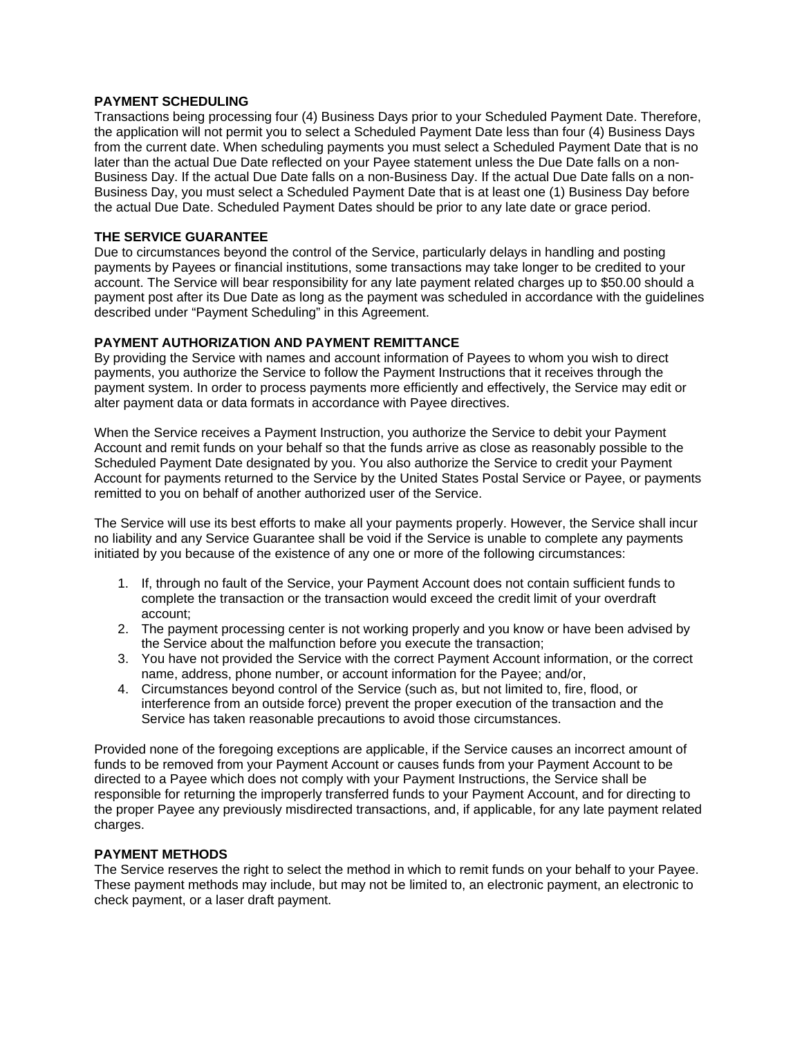### **PAYMENT SCHEDULING**

Transactions being processing four (4) Business Days prior to your Scheduled Payment Date. Therefore, the application will not permit you to select a Scheduled Payment Date less than four (4) Business Days from the current date. When scheduling payments you must select a Scheduled Payment Date that is no later than the actual Due Date reflected on your Payee statement unless the Due Date falls on a non-Business Day. If the actual Due Date falls on a non-Business Day. If the actual Due Date falls on a non-Business Day, you must select a Scheduled Payment Date that is at least one (1) Business Day before the actual Due Date. Scheduled Payment Dates should be prior to any late date or grace period.

# **THE SERVICE GUARANTEE**

Due to circumstances beyond the control of the Service, particularly delays in handling and posting payments by Payees or financial institutions, some transactions may take longer to be credited to your account. The Service will bear responsibility for any late payment related charges up to \$50.00 should a payment post after its Due Date as long as the payment was scheduled in accordance with the guidelines described under "Payment Scheduling" in this Agreement.

# **PAYMENT AUTHORIZATION AND PAYMENT REMITTANCE**

By providing the Service with names and account information of Payees to whom you wish to direct payments, you authorize the Service to follow the Payment Instructions that it receives through the payment system. In order to process payments more efficiently and effectively, the Service may edit or alter payment data or data formats in accordance with Payee directives.

When the Service receives a Payment Instruction, you authorize the Service to debit your Payment Account and remit funds on your behalf so that the funds arrive as close as reasonably possible to the Scheduled Payment Date designated by you. You also authorize the Service to credit your Payment Account for payments returned to the Service by the United States Postal Service or Payee, or payments remitted to you on behalf of another authorized user of the Service.

The Service will use its best efforts to make all your payments properly. However, the Service shall incur no liability and any Service Guarantee shall be void if the Service is unable to complete any payments initiated by you because of the existence of any one or more of the following circumstances:

- 1. If, through no fault of the Service, your Payment Account does not contain sufficient funds to complete the transaction or the transaction would exceed the credit limit of your overdraft account;
- 2. The payment processing center is not working properly and you know or have been advised by the Service about the malfunction before you execute the transaction;
- 3. You have not provided the Service with the correct Payment Account information, or the correct name, address, phone number, or account information for the Payee; and/or,
- 4. Circumstances beyond control of the Service (such as, but not limited to, fire, flood, or interference from an outside force) prevent the proper execution of the transaction and the Service has taken reasonable precautions to avoid those circumstances.

Provided none of the foregoing exceptions are applicable, if the Service causes an incorrect amount of funds to be removed from your Payment Account or causes funds from your Payment Account to be directed to a Payee which does not comply with your Payment Instructions, the Service shall be responsible for returning the improperly transferred funds to your Payment Account, and for directing to the proper Payee any previously misdirected transactions, and, if applicable, for any late payment related charges.

#### **PAYMENT METHODS**

The Service reserves the right to select the method in which to remit funds on your behalf to your Payee. These payment methods may include, but may not be limited to, an electronic payment, an electronic to check payment, or a laser draft payment.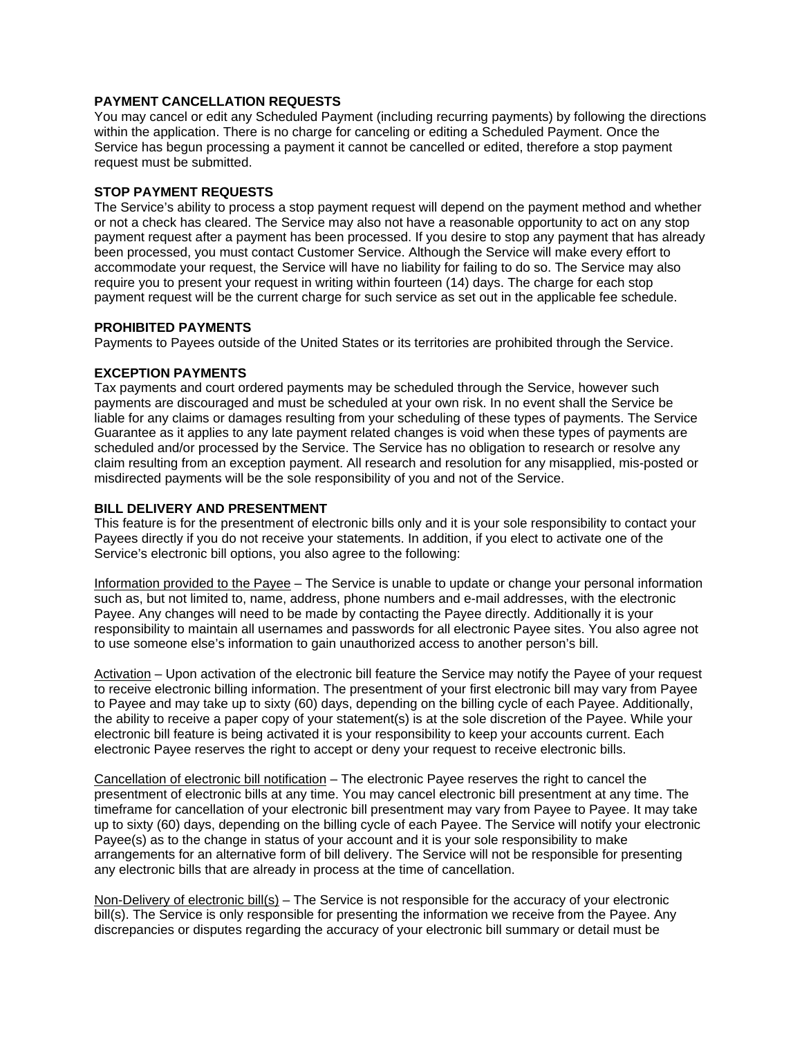# **PAYMENT CANCELLATION REQUESTS**

You may cancel or edit any Scheduled Payment (including recurring payments) by following the directions within the application. There is no charge for canceling or editing a Scheduled Payment. Once the Service has begun processing a payment it cannot be cancelled or edited, therefore a stop payment request must be submitted.

# **STOP PAYMENT REQUESTS**

The Service's ability to process a stop payment request will depend on the payment method and whether or not a check has cleared. The Service may also not have a reasonable opportunity to act on any stop payment request after a payment has been processed. If you desire to stop any payment that has already been processed, you must contact Customer Service. Although the Service will make every effort to accommodate your request, the Service will have no liability for failing to do so. The Service may also require you to present your request in writing within fourteen (14) days. The charge for each stop payment request will be the current charge for such service as set out in the applicable fee schedule.

#### **PROHIBITED PAYMENTS**

Payments to Payees outside of the United States or its territories are prohibited through the Service.

# **EXCEPTION PAYMENTS**

Tax payments and court ordered payments may be scheduled through the Service, however such payments are discouraged and must be scheduled at your own risk. In no event shall the Service be liable for any claims or damages resulting from your scheduling of these types of payments. The Service Guarantee as it applies to any late payment related changes is void when these types of payments are scheduled and/or processed by the Service. The Service has no obligation to research or resolve any claim resulting from an exception payment. All research and resolution for any misapplied, mis-posted or misdirected payments will be the sole responsibility of you and not of the Service.

# **BILL DELIVERY AND PRESENTMENT**

This feature is for the presentment of electronic bills only and it is your sole responsibility to contact your Payees directly if you do not receive your statements. In addition, if you elect to activate one of the Service's electronic bill options, you also agree to the following:

Information provided to the Payee – The Service is unable to update or change your personal information such as, but not limited to, name, address, phone numbers and e-mail addresses, with the electronic Payee. Any changes will need to be made by contacting the Payee directly. Additionally it is your responsibility to maintain all usernames and passwords for all electronic Payee sites. You also agree not to use someone else's information to gain unauthorized access to another person's bill.

Activation – Upon activation of the electronic bill feature the Service may notify the Payee of your request to receive electronic billing information. The presentment of your first electronic bill may vary from Payee to Payee and may take up to sixty (60) days, depending on the billing cycle of each Payee. Additionally, the ability to receive a paper copy of your statement(s) is at the sole discretion of the Payee. While your electronic bill feature is being activated it is your responsibility to keep your accounts current. Each electronic Payee reserves the right to accept or deny your request to receive electronic bills.

Cancellation of electronic bill notification – The electronic Payee reserves the right to cancel the presentment of electronic bills at any time. You may cancel electronic bill presentment at any time. The timeframe for cancellation of your electronic bill presentment may vary from Payee to Payee. It may take up to sixty (60) days, depending on the billing cycle of each Payee. The Service will notify your electronic Payee(s) as to the change in status of your account and it is your sole responsibility to make arrangements for an alternative form of bill delivery. The Service will not be responsible for presenting any electronic bills that are already in process at the time of cancellation.

Non-Delivery of electronic bill(s) – The Service is not responsible for the accuracy of your electronic bill(s). The Service is only responsible for presenting the information we receive from the Payee. Any discrepancies or disputes regarding the accuracy of your electronic bill summary or detail must be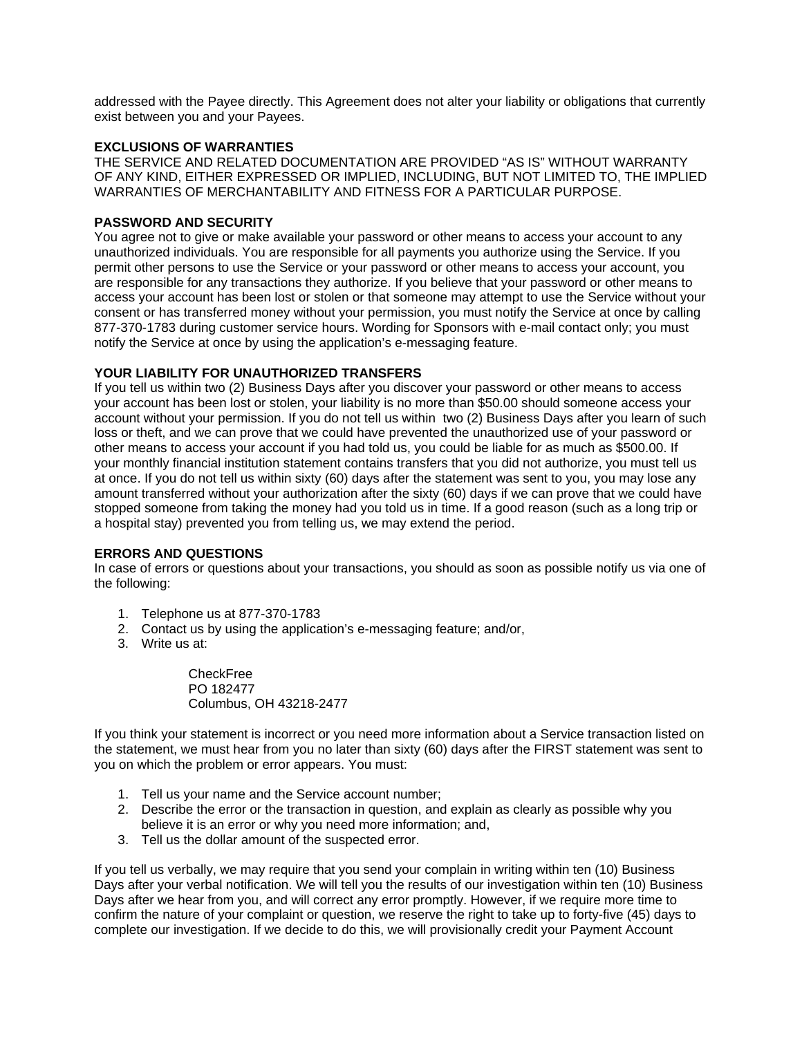addressed with the Payee directly. This Agreement does not alter your liability or obligations that currently exist between you and your Payees.

# **EXCLUSIONS OF WARRANTIES**

THE SERVICE AND RELATED DOCUMENTATION ARE PROVIDED "AS IS" WITHOUT WARRANTY OF ANY KIND, EITHER EXPRESSED OR IMPLIED, INCLUDING, BUT NOT LIMITED TO, THE IMPLIED WARRANTIES OF MERCHANTABILITY AND FITNESS FOR A PARTICULAR PURPOSE.

### **PASSWORD AND SECURITY**

You agree not to give or make available your password or other means to access your account to any unauthorized individuals. You are responsible for all payments you authorize using the Service. If you permit other persons to use the Service or your password or other means to access your account, you are responsible for any transactions they authorize. If you believe that your password or other means to access your account has been lost or stolen or that someone may attempt to use the Service without your consent or has transferred money without your permission, you must notify the Service at once by calling 877-370-1783 during customer service hours. Wording for Sponsors with e-mail contact only; you must notify the Service at once by using the application's e-messaging feature.

#### **YOUR LIABILITY FOR UNAUTHORIZED TRANSFERS**

If you tell us within two (2) Business Days after you discover your password or other means to access your account has been lost or stolen, your liability is no more than \$50.00 should someone access your account without your permission. If you do not tell us within two (2) Business Days after you learn of such loss or theft, and we can prove that we could have prevented the unauthorized use of your password or other means to access your account if you had told us, you could be liable for as much as \$500.00. If your monthly financial institution statement contains transfers that you did not authorize, you must tell us at once. If you do not tell us within sixty (60) days after the statement was sent to you, you may lose any amount transferred without your authorization after the sixty (60) days if we can prove that we could have stopped someone from taking the money had you told us in time. If a good reason (such as a long trip or a hospital stay) prevented you from telling us, we may extend the period.

#### **ERRORS AND QUESTIONS**

In case of errors or questions about your transactions, you should as soon as possible notify us via one of the following:

- 1. Telephone us at 877-370-1783
- 2. Contact us by using the application's e-messaging feature; and/or,
- 3. Write us at:

CheckFree PO 182477 Columbus, OH 43218-2477

If you think your statement is incorrect or you need more information about a Service transaction listed on the statement, we must hear from you no later than sixty (60) days after the FIRST statement was sent to you on which the problem or error appears. You must:

- 1. Tell us your name and the Service account number;
- 2. Describe the error or the transaction in question, and explain as clearly as possible why you believe it is an error or why you need more information; and,
- 3. Tell us the dollar amount of the suspected error.

If you tell us verbally, we may require that you send your complain in writing within ten (10) Business Days after your verbal notification. We will tell you the results of our investigation within ten (10) Business Days after we hear from you, and will correct any error promptly. However, if we require more time to confirm the nature of your complaint or question, we reserve the right to take up to forty-five (45) days to complete our investigation. If we decide to do this, we will provisionally credit your Payment Account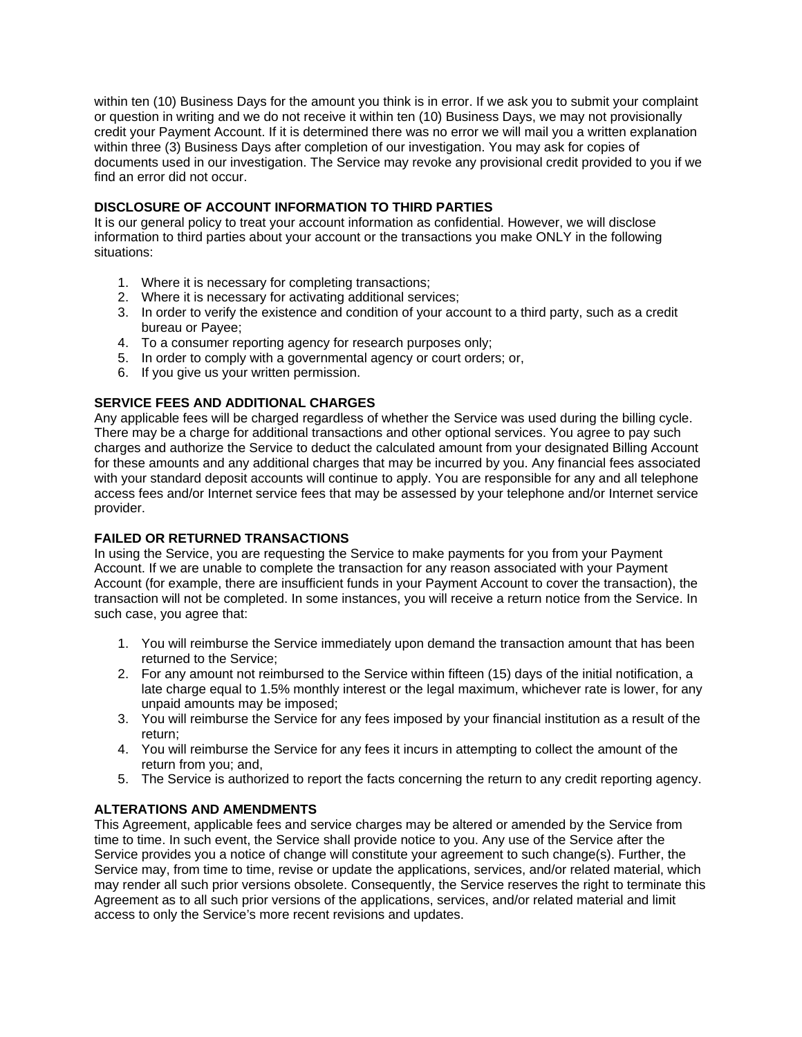within ten (10) Business Days for the amount you think is in error. If we ask you to submit your complaint or question in writing and we do not receive it within ten (10) Business Days, we may not provisionally credit your Payment Account. If it is determined there was no error we will mail you a written explanation within three (3) Business Days after completion of our investigation. You may ask for copies of documents used in our investigation. The Service may revoke any provisional credit provided to you if we find an error did not occur.

# **DISCLOSURE OF ACCOUNT INFORMATION TO THIRD PARTIES**

It is our general policy to treat your account information as confidential. However, we will disclose information to third parties about your account or the transactions you make ONLY in the following situations:

- 1. Where it is necessary for completing transactions;
- 2. Where it is necessary for activating additional services;
- 3. In order to verify the existence and condition of your account to a third party, such as a credit bureau or Payee;
- 4. To a consumer reporting agency for research purposes only;
- 5. In order to comply with a governmental agency or court orders; or,
- 6. If you give us your written permission.

# **SERVICE FEES AND ADDITIONAL CHARGES**

Any applicable fees will be charged regardless of whether the Service was used during the billing cycle. There may be a charge for additional transactions and other optional services. You agree to pay such charges and authorize the Service to deduct the calculated amount from your designated Billing Account for these amounts and any additional charges that may be incurred by you. Any financial fees associated with your standard deposit accounts will continue to apply. You are responsible for any and all telephone access fees and/or Internet service fees that may be assessed by your telephone and/or Internet service provider.

# **FAILED OR RETURNED TRANSACTIONS**

In using the Service, you are requesting the Service to make payments for you from your Payment Account. If we are unable to complete the transaction for any reason associated with your Payment Account (for example, there are insufficient funds in your Payment Account to cover the transaction), the transaction will not be completed. In some instances, you will receive a return notice from the Service. In such case, you agree that:

- 1. You will reimburse the Service immediately upon demand the transaction amount that has been returned to the Service;
- 2. For any amount not reimbursed to the Service within fifteen (15) days of the initial notification, a late charge equal to 1.5% monthly interest or the legal maximum, whichever rate is lower, for any unpaid amounts may be imposed;
- 3. You will reimburse the Service for any fees imposed by your financial institution as a result of the return;
- 4. You will reimburse the Service for any fees it incurs in attempting to collect the amount of the return from you; and,
- 5. The Service is authorized to report the facts concerning the return to any credit reporting agency.

# **ALTERATIONS AND AMENDMENTS**

This Agreement, applicable fees and service charges may be altered or amended by the Service from time to time. In such event, the Service shall provide notice to you. Any use of the Service after the Service provides you a notice of change will constitute your agreement to such change(s). Further, the Service may, from time to time, revise or update the applications, services, and/or related material, which may render all such prior versions obsolete. Consequently, the Service reserves the right to terminate this Agreement as to all such prior versions of the applications, services, and/or related material and limit access to only the Service's more recent revisions and updates.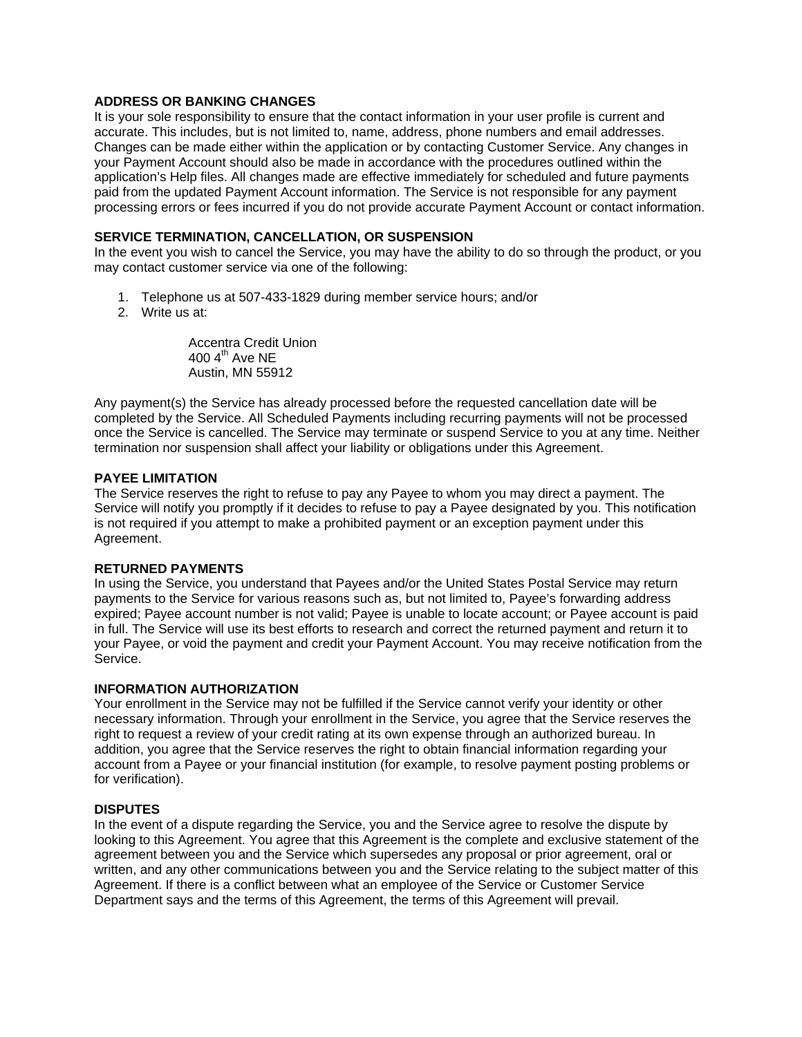### **ADDRESS OR BANKING CHANGES**

It is your sole responsibility to ensure that the contact information in your user profile is current and accurate. This includes, but is not limited to, name, address, phone numbers and email addresses. Changes can be made either within the application or by contacting Customer Service. Any changes in your Payment Account should also be made in accordance with the procedures outlined within the application's Help files. All changes made are effective immediately for scheduled and future payments paid from the updated Payment Account information. The Service is not responsible for any payment processing errors or fees incurred if you do not provide accurate Payment Account or contact information.

### **SERVICE TERMINATION, CANCELLATION, OR SUSPENSION**

In the event you wish to cancel the Service, you may have the ability to do so through the product, or you may contact customer service via one of the following:

- 1. Telephone us at 507-433-1829 during member service hours; and/or
- 2. Write us at:

Accentra Credit Union 400  $4<sup>th</sup>$  Ave NE Austin, MN 55912

Any payment(s) the Service has already processed before the requested cancellation date will be completed by the Service. All Scheduled Payments including recurring payments will not be processed once the Service is cancelled. The Service may terminate or suspend Service to you at any time. Neither termination nor suspension shall affect your liability or obligations under this Agreement.

# **PAYEE LIMITATION**

The Service reserves the right to refuse to pay any Payee to whom you may direct a payment. The Service will notify you promptly if it decides to refuse to pay a Payee designated by you. This notification is not required if you attempt to make a prohibited payment or an exception payment under this Agreement.

### **RETURNED PAYMENTS**

In using the Service, you understand that Payees and/or the United States Postal Service may return payments to the Service for various reasons such as, but not limited to, Payee's forwarding address expired; Payee account number is not valid; Payee is unable to locate account; or Payee account is paid in full. The Service will use its best efforts to research and correct the returned payment and return it to your Payee, or void the payment and credit your Payment Account. You may receive notification from the Service.

#### **INFORMATION AUTHORIZATION**

Your enrollment in the Service may not be fulfilled if the Service cannot verify your identity or other necessary information. Through your enrollment in the Service, you agree that the Service reserves the right to request a review of your credit rating at its own expense through an authorized bureau. In addition, you agree that the Service reserves the right to obtain financial information regarding your account from a Payee or your financial institution (for example, to resolve payment posting problems or for verification).

#### **DISPUTES**

In the event of a dispute regarding the Service, you and the Service agree to resolve the dispute by looking to this Agreement. You agree that this Agreement is the complete and exclusive statement of the agreement between you and the Service which supersedes any proposal or prior agreement, oral or written, and any other communications between you and the Service relating to the subject matter of this Agreement. If there is a conflict between what an employee of the Service or Customer Service Department says and the terms of this Agreement, the terms of this Agreement will prevail.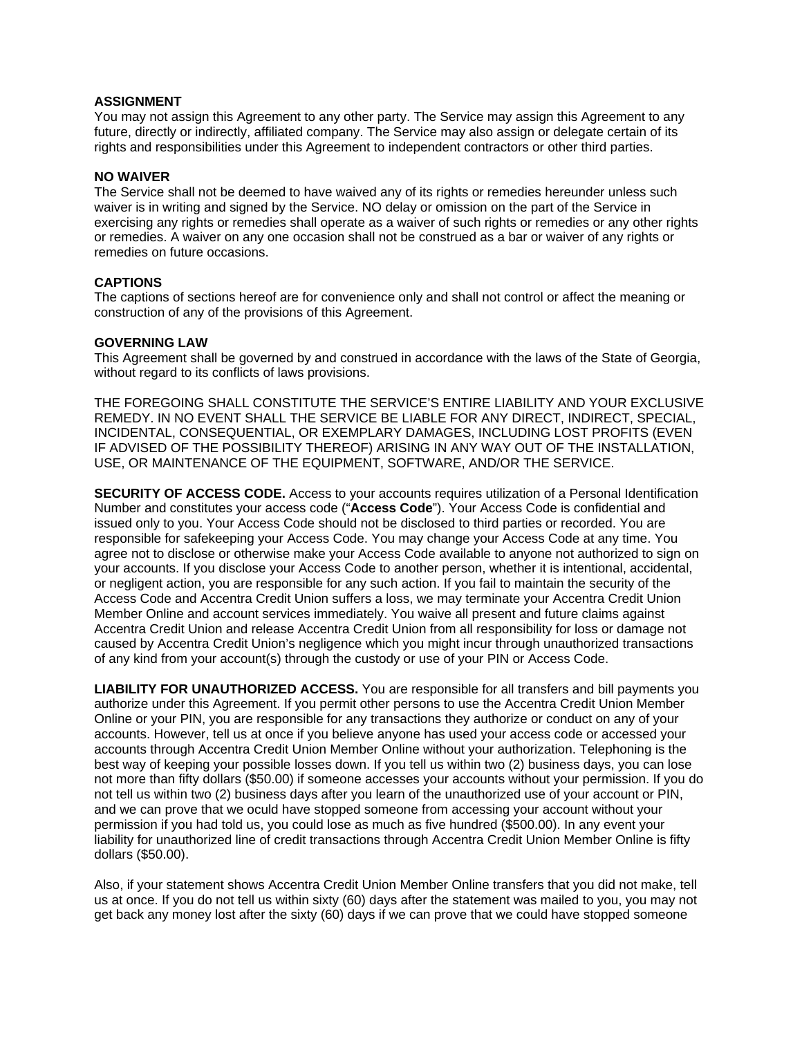#### **ASSIGNMENT**

You may not assign this Agreement to any other party. The Service may assign this Agreement to any future, directly or indirectly, affiliated company. The Service may also assign or delegate certain of its rights and responsibilities under this Agreement to independent contractors or other third parties.

#### **NO WAIVER**

The Service shall not be deemed to have waived any of its rights or remedies hereunder unless such waiver is in writing and signed by the Service. NO delay or omission on the part of the Service in exercising any rights or remedies shall operate as a waiver of such rights or remedies or any other rights or remedies. A waiver on any one occasion shall not be construed as a bar or waiver of any rights or remedies on future occasions.

#### **CAPTIONS**

The captions of sections hereof are for convenience only and shall not control or affect the meaning or construction of any of the provisions of this Agreement.

#### **GOVERNING LAW**

This Agreement shall be governed by and construed in accordance with the laws of the State of Georgia, without regard to its conflicts of laws provisions.

THE FOREGOING SHALL CONSTITUTE THE SERVICE'S ENTIRE LIABILITY AND YOUR EXCLUSIVE REMEDY. IN NO EVENT SHALL THE SERVICE BE LIABLE FOR ANY DIRECT, INDIRECT, SPECIAL, INCIDENTAL, CONSEQUENTIAL, OR EXEMPLARY DAMAGES, INCLUDING LOST PROFITS (EVEN IF ADVISED OF THE POSSIBILITY THEREOF) ARISING IN ANY WAY OUT OF THE INSTALLATION, USE, OR MAINTENANCE OF THE EQUIPMENT, SOFTWARE, AND/OR THE SERVICE.

**SECURITY OF ACCESS CODE.** Access to your accounts requires utilization of a Personal Identification Number and constitutes your access code ("**Access Code**"). Your Access Code is confidential and issued only to you. Your Access Code should not be disclosed to third parties or recorded. You are responsible for safekeeping your Access Code. You may change your Access Code at any time. You agree not to disclose or otherwise make your Access Code available to anyone not authorized to sign on your accounts. If you disclose your Access Code to another person, whether it is intentional, accidental, or negligent action, you are responsible for any such action. If you fail to maintain the security of the Access Code and Accentra Credit Union suffers a loss, we may terminate your Accentra Credit Union Member Online and account services immediately. You waive all present and future claims against Accentra Credit Union and release Accentra Credit Union from all responsibility for loss or damage not caused by Accentra Credit Union's negligence which you might incur through unauthorized transactions of any kind from your account(s) through the custody or use of your PIN or Access Code.

**LIABILITY FOR UNAUTHORIZED ACCESS.** You are responsible for all transfers and bill payments you authorize under this Agreement. If you permit other persons to use the Accentra Credit Union Member Online or your PIN, you are responsible for any transactions they authorize or conduct on any of your accounts. However, tell us at once if you believe anyone has used your access code or accessed your accounts through Accentra Credit Union Member Online without your authorization. Telephoning is the best way of keeping your possible losses down. If you tell us within two (2) business days, you can lose not more than fifty dollars (\$50.00) if someone accesses your accounts without your permission. If you do not tell us within two (2) business days after you learn of the unauthorized use of your account or PIN, and we can prove that we oculd have stopped someone from accessing your account without your permission if you had told us, you could lose as much as five hundred (\$500.00). In any event your liability for unauthorized line of credit transactions through Accentra Credit Union Member Online is fifty dollars (\$50.00).

Also, if your statement shows Accentra Credit Union Member Online transfers that you did not make, tell us at once. If you do not tell us within sixty (60) days after the statement was mailed to you, you may not get back any money lost after the sixty (60) days if we can prove that we could have stopped someone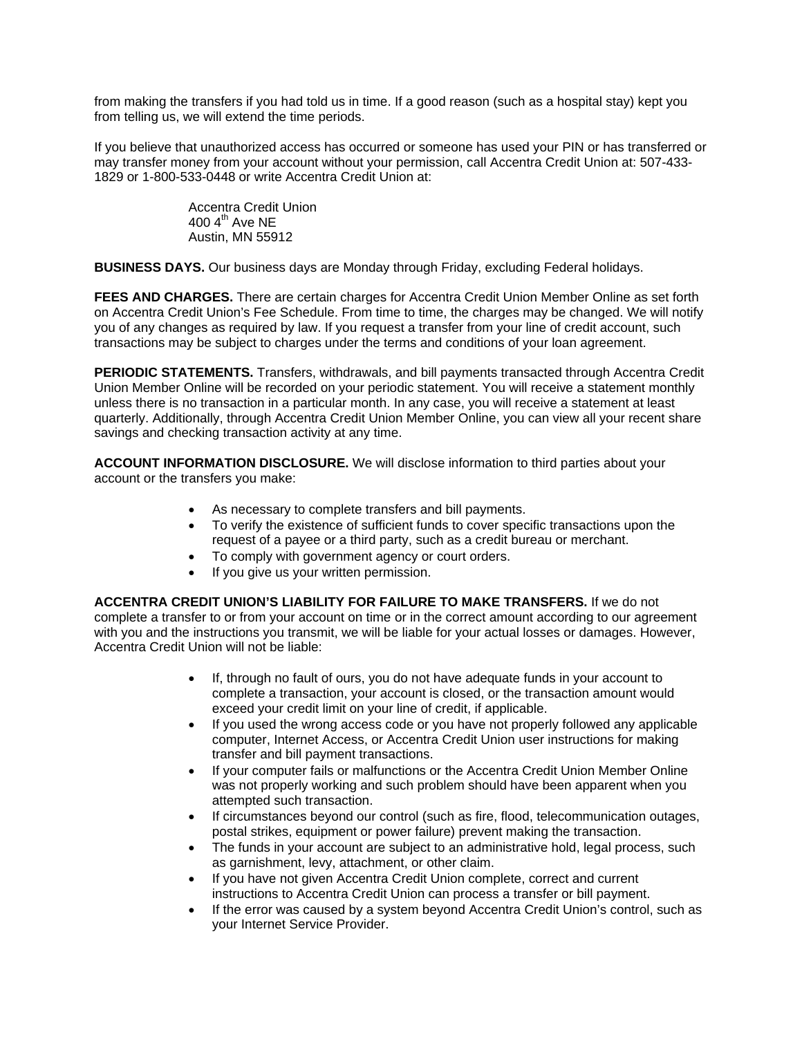from making the transfers if you had told us in time. If a good reason (such as a hospital stay) kept you from telling us, we will extend the time periods.

If you believe that unauthorized access has occurred or someone has used your PIN or has transferred or may transfer money from your account without your permission, call Accentra Credit Union at: 507-433- 1829 or 1-800-533-0448 or write Accentra Credit Union at:

> Accentra Credit Union 400  $4^{\text{th}}$  Ave NE Austin, MN 55912

**BUSINESS DAYS.** Our business days are Monday through Friday, excluding Federal holidays.

**FEES AND CHARGES.** There are certain charges for Accentra Credit Union Member Online as set forth on Accentra Credit Union's Fee Schedule. From time to time, the charges may be changed. We will notify you of any changes as required by law. If you request a transfer from your line of credit account, such transactions may be subject to charges under the terms and conditions of your loan agreement.

**PERIODIC STATEMENTS.** Transfers, withdrawals, and bill payments transacted through Accentra Credit Union Member Online will be recorded on your periodic statement. You will receive a statement monthly unless there is no transaction in a particular month. In any case, you will receive a statement at least quarterly. Additionally, through Accentra Credit Union Member Online, you can view all your recent share savings and checking transaction activity at any time.

**ACCOUNT INFORMATION DISCLOSURE.** We will disclose information to third parties about your account or the transfers you make:

- As necessary to complete transfers and bill payments.
- To verify the existence of sufficient funds to cover specific transactions upon the request of a payee or a third party, such as a credit bureau or merchant.
- To comply with government agency or court orders.
- If you give us your written permission.

**ACCENTRA CREDIT UNION'S LIABILITY FOR FAILURE TO MAKE TRANSFERS.** If we do not complete a transfer to or from your account on time or in the correct amount according to our agreement with you and the instructions you transmit, we will be liable for your actual losses or damages. However, Accentra Credit Union will not be liable:

- If, through no fault of ours, you do not have adequate funds in your account to complete a transaction, your account is closed, or the transaction amount would exceed your credit limit on your line of credit, if applicable.
- If you used the wrong access code or you have not properly followed any applicable computer, Internet Access, or Accentra Credit Union user instructions for making transfer and bill payment transactions.
- If your computer fails or malfunctions or the Accentra Credit Union Member Online was not properly working and such problem should have been apparent when you attempted such transaction.
- If circumstances beyond our control (such as fire, flood, telecommunication outages, postal strikes, equipment or power failure) prevent making the transaction.
- The funds in your account are subject to an administrative hold, legal process, such as garnishment, levy, attachment, or other claim.
- If you have not given Accentra Credit Union complete, correct and current instructions to Accentra Credit Union can process a transfer or bill payment.
- If the error was caused by a system beyond Accentra Credit Union's control, such as your Internet Service Provider.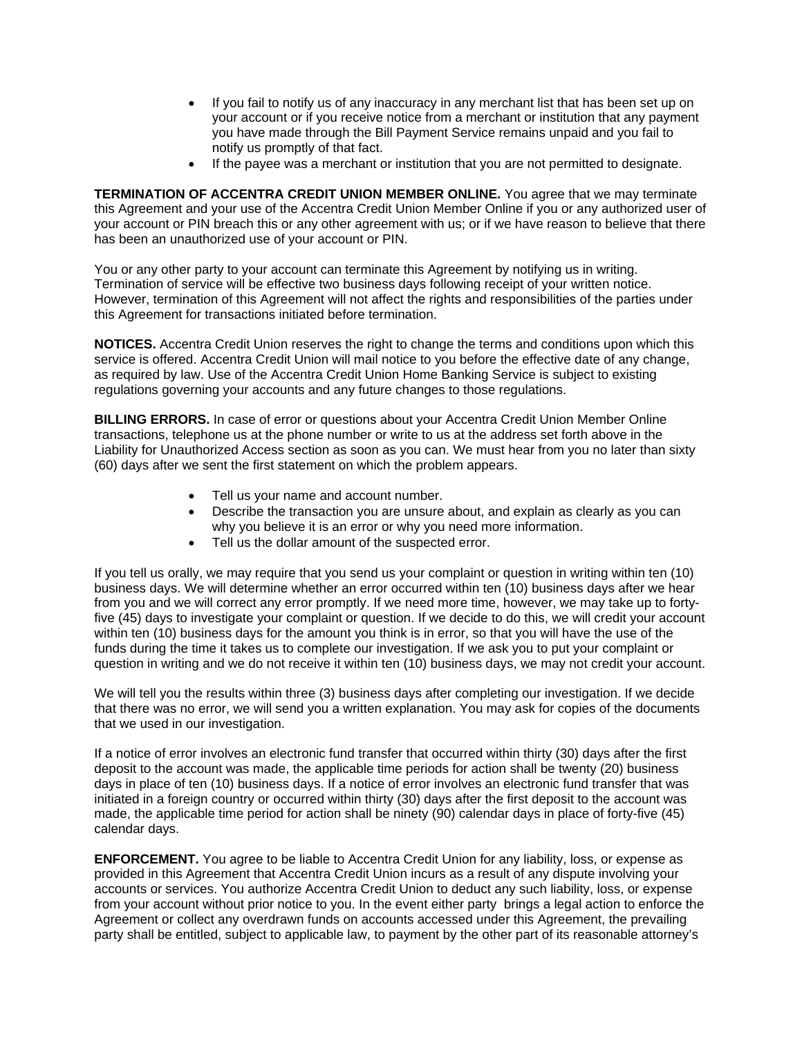- If you fail to notify us of any inaccuracy in any merchant list that has been set up on your account or if you receive notice from a merchant or institution that any payment you have made through the Bill Payment Service remains unpaid and you fail to notify us promptly of that fact.
- If the payee was a merchant or institution that you are not permitted to designate.

**TERMINATION OF ACCENTRA CREDIT UNION MEMBER ONLINE.** You agree that we may terminate this Agreement and your use of the Accentra Credit Union Member Online if you or any authorized user of your account or PIN breach this or any other agreement with us; or if we have reason to believe that there has been an unauthorized use of your account or PIN.

You or any other party to your account can terminate this Agreement by notifying us in writing. Termination of service will be effective two business days following receipt of your written notice. However, termination of this Agreement will not affect the rights and responsibilities of the parties under this Agreement for transactions initiated before termination.

**NOTICES.** Accentra Credit Union reserves the right to change the terms and conditions upon which this service is offered. Accentra Credit Union will mail notice to you before the effective date of any change, as required by law. Use of the Accentra Credit Union Home Banking Service is subject to existing regulations governing your accounts and any future changes to those regulations.

**BILLING ERRORS.** In case of error or questions about your Accentra Credit Union Member Online transactions, telephone us at the phone number or write to us at the address set forth above in the Liability for Unauthorized Access section as soon as you can. We must hear from you no later than sixty (60) days after we sent the first statement on which the problem appears.

- Tell us your name and account number.
- Describe the transaction you are unsure about, and explain as clearly as you can why you believe it is an error or why you need more information.
- Tell us the dollar amount of the suspected error.

If you tell us orally, we may require that you send us your complaint or question in writing within ten (10) business days. We will determine whether an error occurred within ten (10) business days after we hear from you and we will correct any error promptly. If we need more time, however, we may take up to fortyfive (45) days to investigate your complaint or question. If we decide to do this, we will credit your account within ten (10) business days for the amount you think is in error, so that you will have the use of the funds during the time it takes us to complete our investigation. If we ask you to put your complaint or question in writing and we do not receive it within ten (10) business days, we may not credit your account.

We will tell you the results within three (3) business days after completing our investigation. If we decide that there was no error, we will send you a written explanation. You may ask for copies of the documents that we used in our investigation.

If a notice of error involves an electronic fund transfer that occurred within thirty (30) days after the first deposit to the account was made, the applicable time periods for action shall be twenty (20) business days in place of ten (10) business days. If a notice of error involves an electronic fund transfer that was initiated in a foreign country or occurred within thirty (30) days after the first deposit to the account was made, the applicable time period for action shall be ninety (90) calendar days in place of forty-five (45) calendar days.

**ENFORCEMENT.** You agree to be liable to Accentra Credit Union for any liability, loss, or expense as provided in this Agreement that Accentra Credit Union incurs as a result of any dispute involving your accounts or services. You authorize Accentra Credit Union to deduct any such liability, loss, or expense from your account without prior notice to you. In the event either party brings a legal action to enforce the Agreement or collect any overdrawn funds on accounts accessed under this Agreement, the prevailing party shall be entitled, subject to applicable law, to payment by the other part of its reasonable attorney's